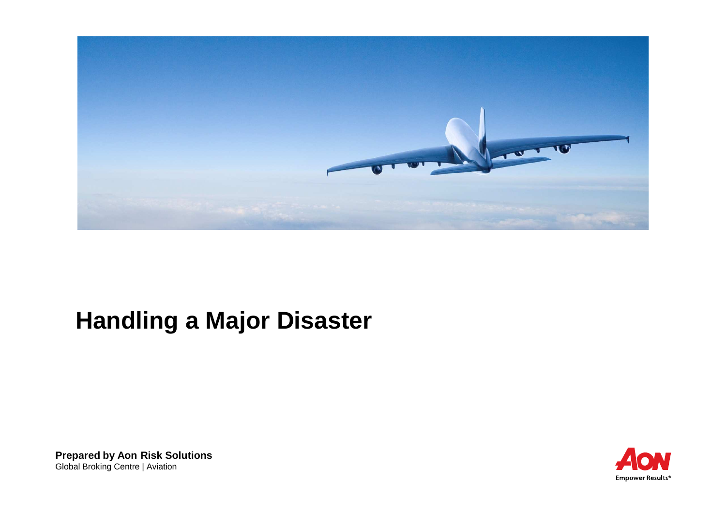

# **Handling a Major Disaster**

**Prepared by Aon Risk Solutions**Global Broking Centre | Aviation

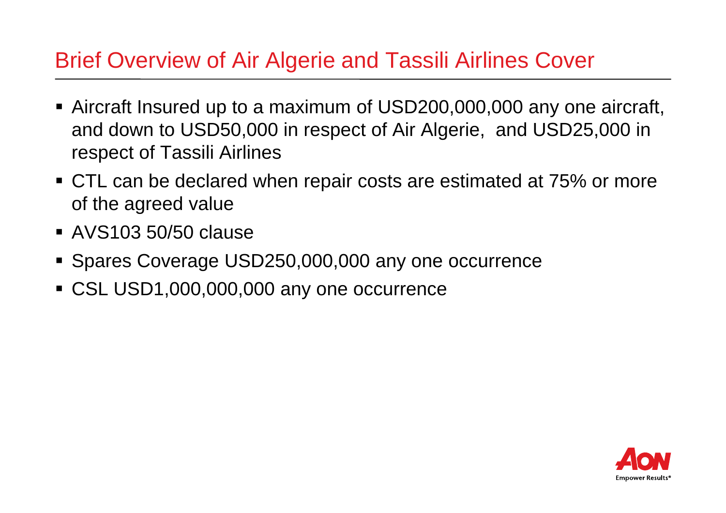#### Brief Overview of Air Algerie and Tassili Airlines Cover

- Aircraft Insured up to a maximum of USD200,000,000 any one aircraft, and down to USD50,000 in respect of Air Algerie, and USD25,000 in respect of Tassili Airlines
- CTL can be declared when repair costs are estimated at 75% or more of the agreed value
- AVS103 50/50 clause
- Spares Coverage USD250,000,000 any one occurrence
- CSL USD1,000,000,000 any one occurrence

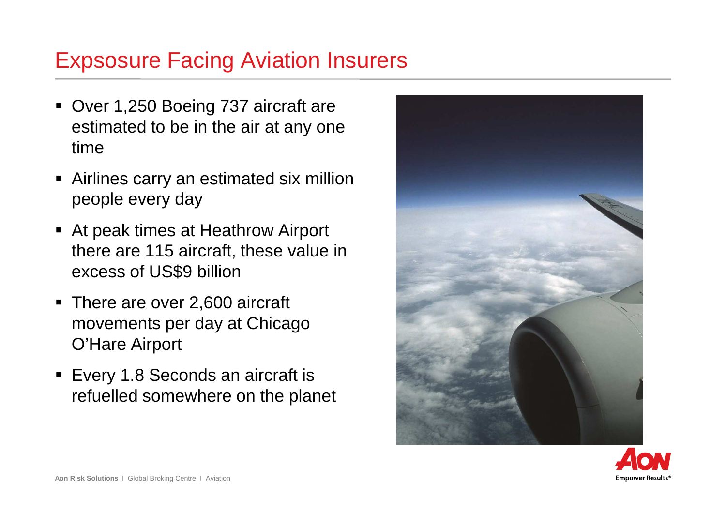### Expsosure Facing Aviation Insurers

- Over 1,250 Boeing 737 aircraft are estimated to be in the air at any one time
- Airlines carry an estimated six million people every day
- At peak times at Heathrow Airport there are 115 aircraft, these value in excess of US\$9 billion
- There are over 2,600 aircraft movements per day at Chicago O'Hare Airport
- Every 1.8 Seconds an aircraft is refuelled somewhere on the planet



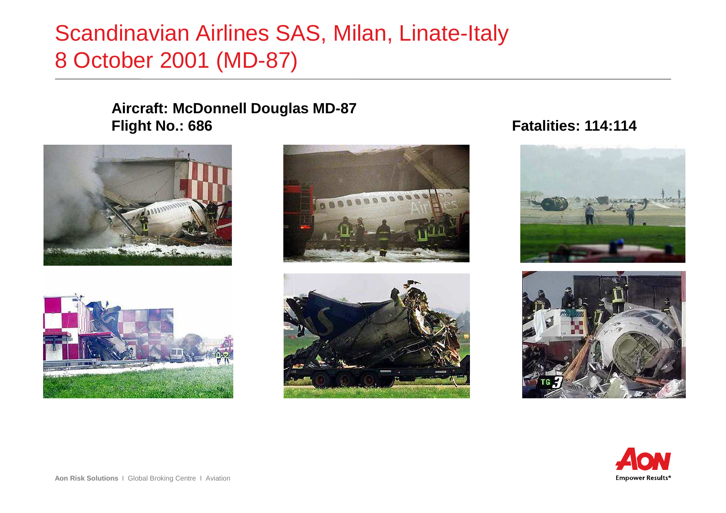## Scandinavian Airlines SAS, Milan, Linate-Italy8 October 2001 (MD-87)

#### **Aircraft: McDonnell Douglas MD-87Flight No.: 686**









#### **Fatalities: 114:114**





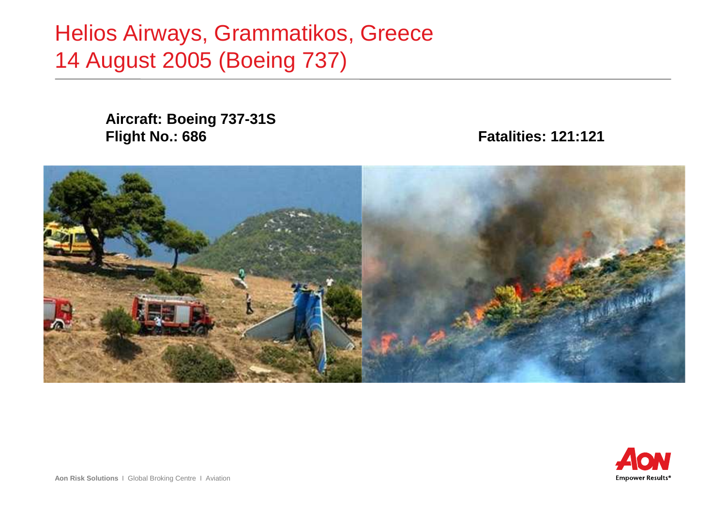Helios Airways, Grammatikos, Greece14 August 2005 (Boeing 737)

> **Aircraft: Boeing 737-31SFlight No.: 686**

**Fatalities: 121:121**



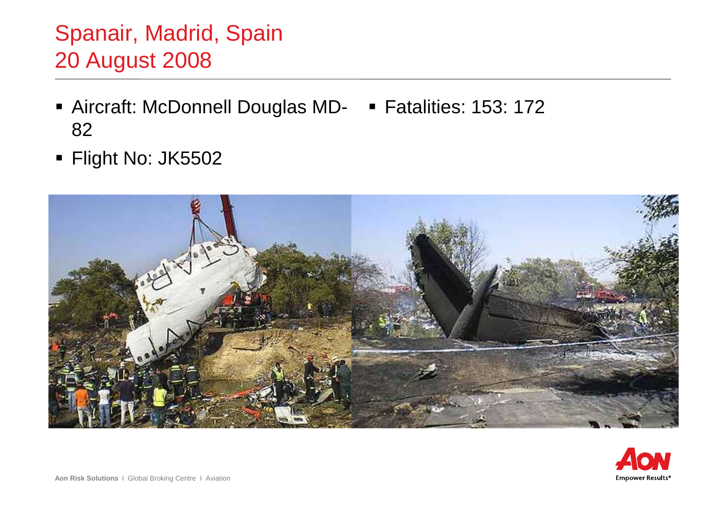## Spanair, Madrid, Spain20 August 2008

- Aircraft: McDonnell Douglas MD- Fatalities: 153: 17282
- Flight No: JK5502



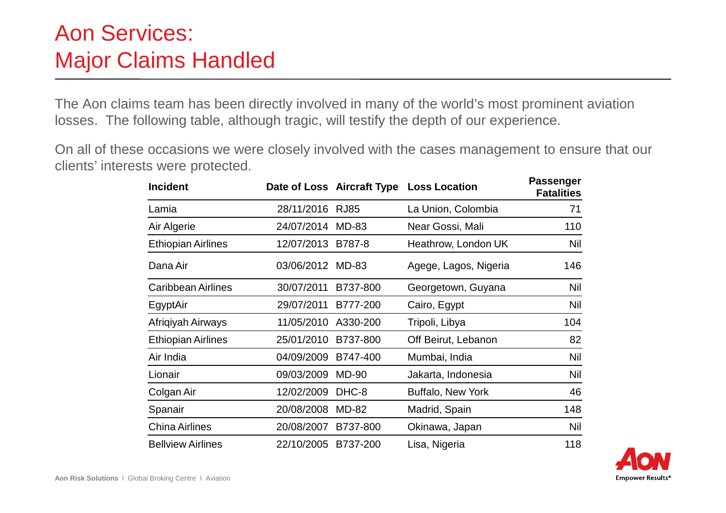## Aon Services:Major Claims Handled

The Aon claims team has been directly involved in many of the world's most prominent aviation losses. The following table, although tragic, will testify the depth of our experience.

On all of these occasions we were closely involved with the cases management to ensure that our clients' interests were protected.

| <b>Incident</b>           |                 |              | Date of Loss Aircraft Type Loss Location | <b>Passenger</b><br><b>Fatalities</b> |
|---------------------------|-----------------|--------------|------------------------------------------|---------------------------------------|
| Lamia                     | 28/11/2016 RJ85 |              | La Union, Colombia                       | 71                                    |
| Air Algerie               | 24/07/2014      | MD-83        | Near Gossi, Mali                         | 110                                   |
| <b>Ethiopian Airlines</b> | 12/07/2013      | B787-8       | Heathrow, London UK                      | Nil                                   |
| Dana Air                  | 03/06/2012      | MD-83        | Agege, Lagos, Nigeria                    | 146                                   |
| <b>Caribbean Airlines</b> | 30/07/2011      | B737-800     | Georgetown, Guyana                       | Nil                                   |
| EgyptAir                  | 29/07/2011      | B777-200     | Cairo, Egypt                             | Nil                                   |
| Afriqiyah Airways         | 11/05/2010      | A330-200     | Tripoli, Libya                           | 104                                   |
| <b>Ethiopian Airlines</b> | 25/01/2010      | B737-800     | Off Beirut, Lebanon                      | 82                                    |
| Air India                 | 04/09/2009      | B747-400     | Mumbai, India                            | Nil                                   |
| Lionair                   | 09/03/2009      | <b>MD-90</b> | Jakarta, Indonesia                       | Nil                                   |
| Colgan Air                | 12/02/2009      | DHC-8        | <b>Buffalo, New York</b>                 | 46                                    |
| Spanair                   | 20/08/2008      | <b>MD-82</b> | Madrid, Spain                            | 148                                   |
| <b>China Airlines</b>     | 20/08/2007      | B737-800     | Okinawa, Japan                           | Nil                                   |
| <b>Bellview Airlines</b>  | 22/10/2005      | B737-200     | Lisa, Nigeria                            | 118                                   |

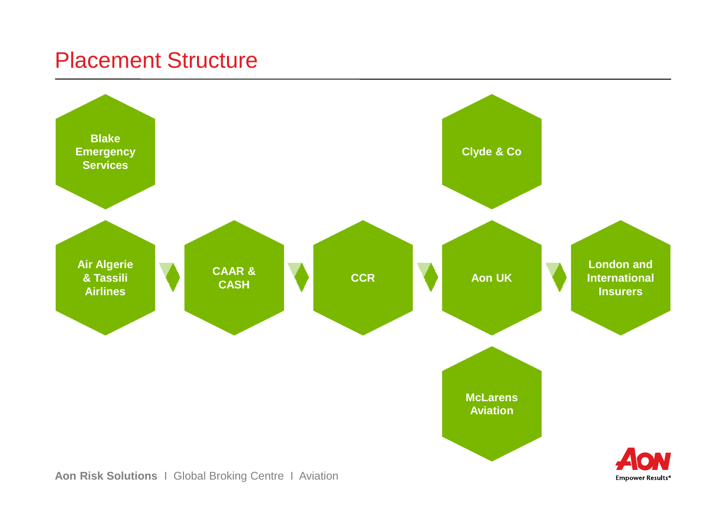#### Placement Structure



**Aon Risk Solutions** I Global Broking Centre I Aviation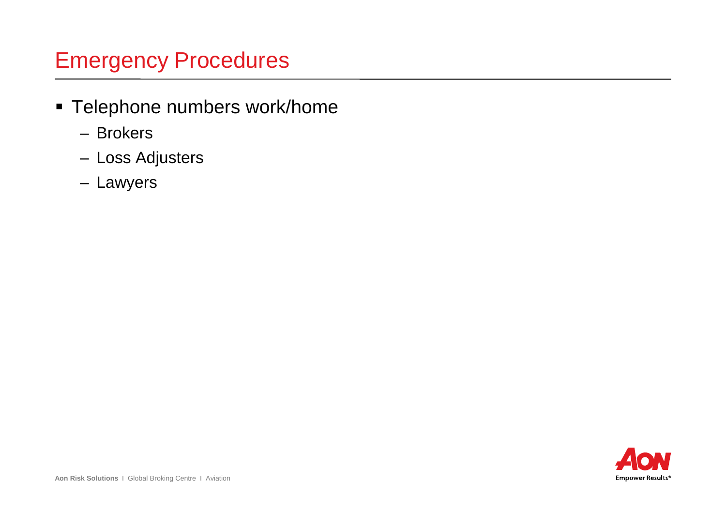### Emergency Procedures

- Telephone numbers work/home
	- Brokers
	- Loss Adjusters
	- Lawyers

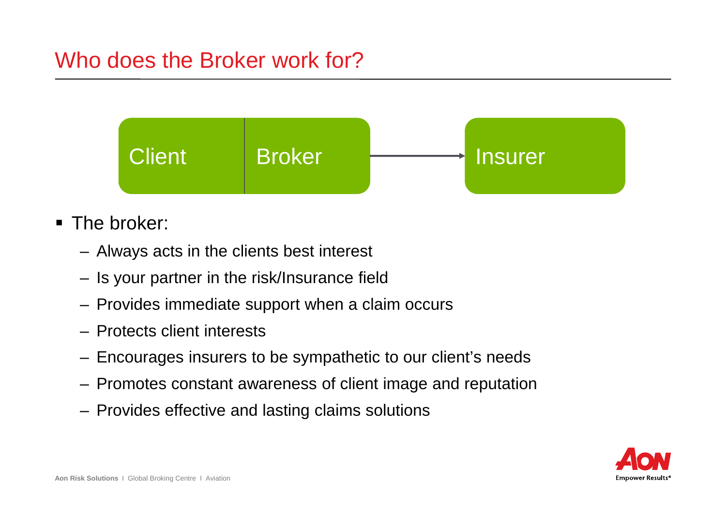## Who does the Broker work for?



- The broker:
	- Always acts in the clients best interest
	- Is your partner in the risk/Insurance field
	- Provides immediate support when a claim occurs
	- Protects client interests
	- Encourages insurers to be sympathetic to our client's needs
	- Promotes constant awareness of client image and reputation
	- Provides effective and lasting claims solutions

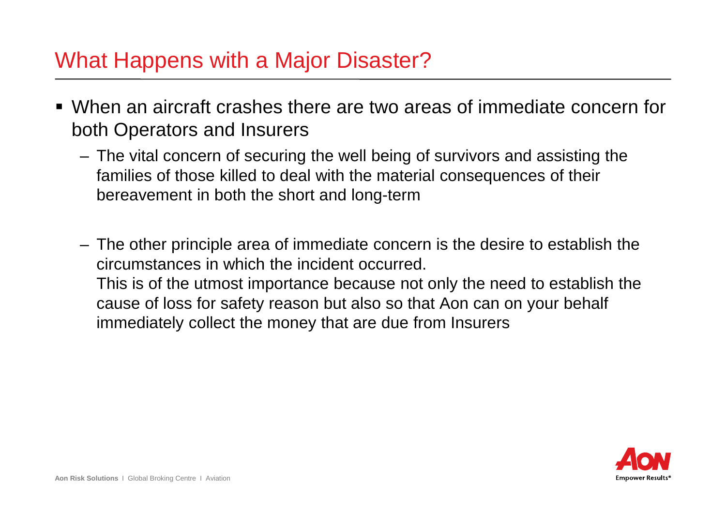#### What Happens with a Major Disaster?

- When an aircraft crashes there are two areas of immediate concern for both Operators and Insurers
	- The vital concern of securing the well being of survivors and assisting the families of those killed to deal with the material consequences of their bereavement in both the short and long-term
	- The other principle area of immediate concern is the desire to establish the circumstances in which the incident occurred. This is of the utmost importance because not only the need to establish the cause of loss for safety reason but also so that Aon can on your behalf immediately collect the money that are due from Insurers

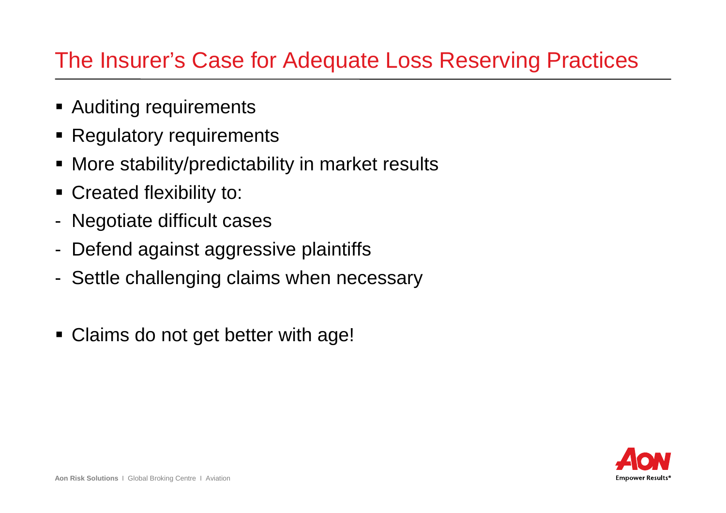### The Insurer's Case for Adequate Loss Reserving Practices

- **Example 21 Auditing requirements**
- Regulatory requirements
- More stability/predictability in market results
- Created flexibility to:
- Negotiate difficult cases
- Defend against aggressive plaintiffs
- Settle challenging claims when necessary
- Claims do not get better with age!

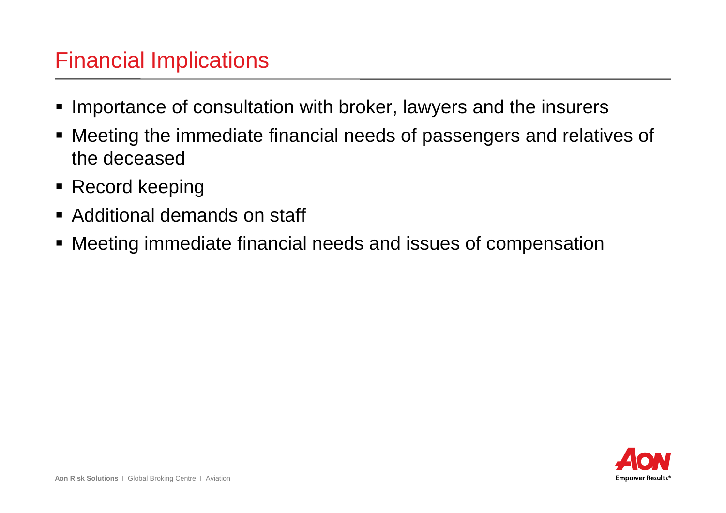#### Financial Implications

- **Importance of consultation with broker, lawyers and the insurers**
- Meeting the immediate financial needs of passengers and relatives of the deceased
- Record keeping
- Additional demands on staff
- Meeting immediate financial needs and issues of compensation

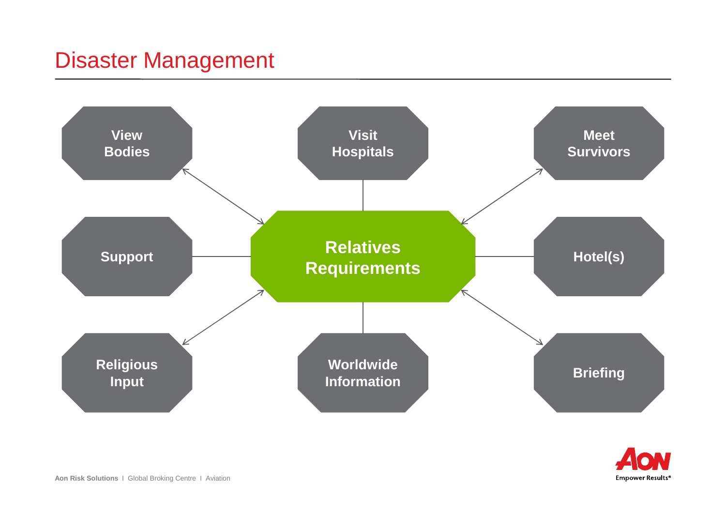### Disaster Management